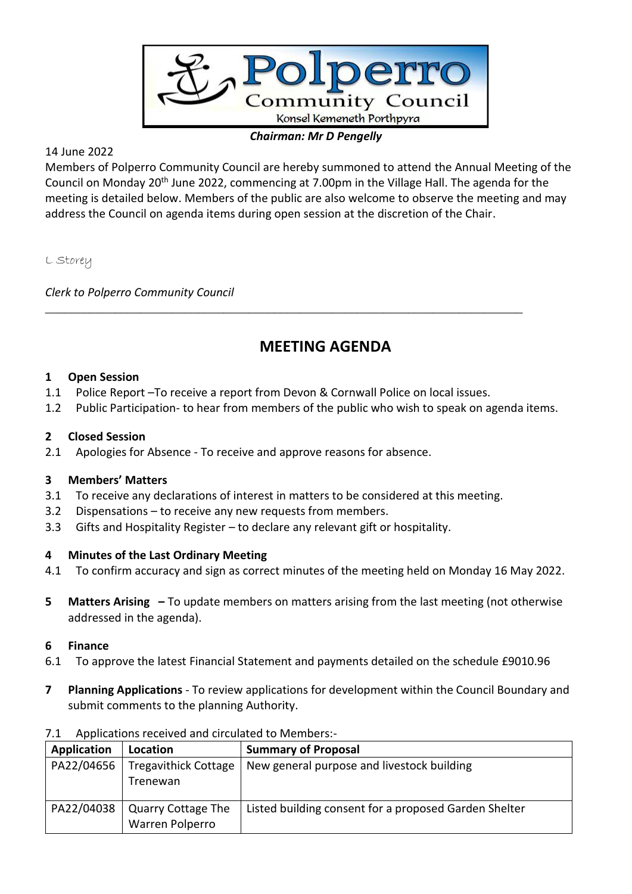

### *Chairman: Mr D Pengelly*

## 14 June 2022

Members of Polperro Community Council are hereby summoned to attend the Annual Meeting of the Council on Monday 20th June 2022, commencing at 7.00pm in the Village Hall. The agenda for the meeting is detailed below. Members of the public are also welcome to observe the meeting and may address the Council on agenda items during open session at the discretion of the Chair.

L Storey

*Clerk to Polperro Community Council*

# **MEETING AGENDA**

#### **1 Open Session**

1.1 Police Report –To receive a report from Devon & Cornwall Police on local issues.

*\_\_\_\_\_\_\_\_\_\_\_\_\_\_\_\_\_\_\_\_\_\_\_\_\_\_\_\_\_\_\_\_\_\_\_\_\_\_\_\_\_\_\_\_\_\_\_\_\_\_\_\_\_\_\_\_\_\_\_\_\_\_\_\_\_\_\_\_\_\_\_\_\_\_\_*

1.2 Public Participation- to hear from members of the public who wish to speak on agenda items.

#### **2 Closed Session**

2.1 Apologies for Absence - To receive and approve reasons for absence.

#### **3 Members' Matters**

- 3.1 To receive any declarations of interest in matters to be considered at this meeting.
- 3.2 Dispensations to receive any new requests from members.
- 3.3 Gifts and Hospitality Register to declare any relevant gift or hospitality.

#### **4 Minutes of the Last Ordinary Meeting**

- 4.1 To confirm accuracy and sign as correct minutes of the meeting held on Monday 16 May 2022.
- **5 Matters Arising –** To update members on matters arising from the last meeting (not otherwise addressed in the agenda).

#### **6 Finance**

- 6.1 To approve the latest Financial Statement and payments detailed on the schedule £9010.96
- **7 Planning Applications**  To review applications for development within the Council Boundary and submit comments to the planning Authority.

| Application | Location                                     | <b>Summary of Proposal</b>                            |
|-------------|----------------------------------------------|-------------------------------------------------------|
| PA22/04656  | <b>Tregavithick Cottage</b><br>Trenewan      | New general purpose and livestock building            |
| PA22/04038  | <b>Quarry Cottage The</b><br>Warren Polperro | Listed building consent for a proposed Garden Shelter |

#### 7.1 Applications received and circulated to Members:-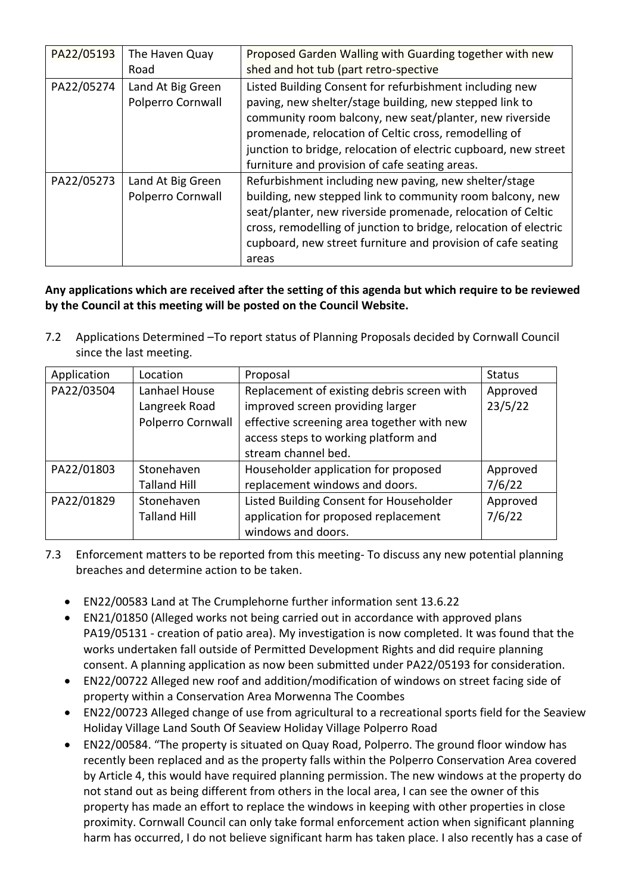| PA22/05193 | The Haven Quay<br>Road                 | Proposed Garden Walling with Guarding together with new<br>shed and hot tub (part retro-spective                                                                                                                                                                                                                                                            |  |
|------------|----------------------------------------|-------------------------------------------------------------------------------------------------------------------------------------------------------------------------------------------------------------------------------------------------------------------------------------------------------------------------------------------------------------|--|
| PA22/05274 | Land At Big Green<br>Polperro Cornwall | Listed Building Consent for refurbishment including new<br>paving, new shelter/stage building, new stepped link to<br>community room balcony, new seat/planter, new riverside<br>promenade, relocation of Celtic cross, remodelling of<br>junction to bridge, relocation of electric cupboard, new street<br>furniture and provision of cafe seating areas. |  |
| PA22/05273 | Land At Big Green<br>Polperro Cornwall | Refurbishment including new paving, new shelter/stage<br>building, new stepped link to community room balcony, new<br>seat/planter, new riverside promenade, relocation of Celtic<br>cross, remodelling of junction to bridge, relocation of electric<br>cupboard, new street furniture and provision of cafe seating<br>areas                              |  |

## **Any applications which are received after the setting of this agenda but which require to be reviewed by the Council at this meeting will be posted on the Council Website.**

7.2 Applications Determined –To report status of Planning Proposals decided by Cornwall Council since the last meeting.

| Application | Location            | Proposal                                   | <b>Status</b> |
|-------------|---------------------|--------------------------------------------|---------------|
| PA22/03504  | Lanhael House       | Replacement of existing debris screen with | Approved      |
|             | Langreek Road       | improved screen providing larger           | 23/5/22       |
|             | Polperro Cornwall   | effective screening area together with new |               |
|             |                     | access steps to working platform and       |               |
|             |                     | stream channel bed.                        |               |
| PA22/01803  | Stonehaven          | Householder application for proposed       | Approved      |
|             | <b>Talland Hill</b> | replacement windows and doors.             | 7/6/22        |
| PA22/01829  | Stonehaven          | Listed Building Consent for Householder    | Approved      |
|             | <b>Talland Hill</b> | application for proposed replacement       | 7/6/22        |
|             |                     | windows and doors.                         |               |

- 7.3 Enforcement matters to be reported from this meeting- To discuss any new potential planning breaches and determine action to be taken.
	- EN22/00583 Land at The Crumplehorne further information sent 13.6.22
	- EN21/01850 (Alleged works not being carried out in accordance with approved plans PA19/05131 - creation of patio area). My investigation is now completed. It was found that the works undertaken fall outside of Permitted Development Rights and did require planning consent. A planning application as now been submitted under PA22/05193 for consideration.
	- EN22/00722 Alleged new roof and addition/modification of windows on street facing side of property within a Conservation Area Morwenna The Coombes
	- EN22/00723 Alleged change of use from agricultural to a recreational sports field for the Seaview Holiday Village Land South Of Seaview Holiday Village Polperro Road
	- EN22/00584. "The property is situated on Quay Road, Polperro. The ground floor window has recently been replaced and as the property falls within the Polperro Conservation Area covered by Article 4, this would have required planning permission. The new windows at the property do not stand out as being different from others in the local area, I can see the owner of this property has made an effort to replace the windows in keeping with other properties in close proximity. Cornwall Council can only take formal enforcement action when significant planning harm has occurred, I do not believe significant harm has taken place. I also recently has a case of